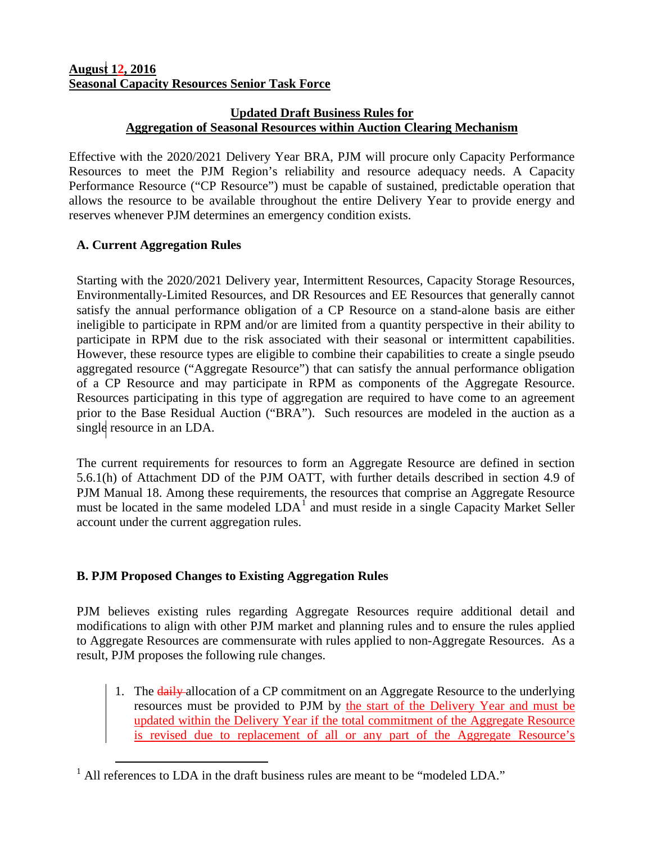## **Updated Draft Business Rules for Aggregation of Seasonal Resources within Auction Clearing Mechanism**

Effective with the 2020/2021 Delivery Year BRA, PJM will procure only Capacity Performance Resources to meet the PJM Region's reliability and resource adequacy needs. A Capacity Performance Resource ("CP Resource") must be capable of sustained, predictable operation that allows the resource to be available throughout the entire Delivery Year to provide energy and reserves whenever PJM determines an emergency condition exists.

## **A. Current Aggregation Rules**

Starting with the 2020/2021 Delivery year, Intermittent Resources, Capacity Storage Resources, Environmentally-Limited Resources, and DR Resources and EE Resources that generally cannot satisfy the annual performance obligation of a CP Resource on a stand-alone basis are either ineligible to participate in RPM and/or are limited from a quantity perspective in their ability to participate in RPM due to the risk associated with their seasonal or intermittent capabilities. However, these resource types are eligible to combine their capabilities to create a single pseudo aggregated resource ("Aggregate Resource") that can satisfy the annual performance obligation of a CP Resource and may participate in RPM as components of the Aggregate Resource. Resources participating in this type of aggregation are required to have come to an agreement prior to the Base Residual Auction ("BRA"). Such resources are modeled in the auction as a single resource in an LDA.

The current requirements for resources to form an Aggregate Resource are defined in section 5.6.1(h) of Attachment DD of the PJM OATT, with further details described in section 4.9 of PJM Manual 18. Among these requirements, the resources that comprise an Aggregate Resource must be located in the same modeled  $LDA<sup>1</sup>$  $LDA<sup>1</sup>$  $LDA<sup>1</sup>$  and must reside in a single Capacity Market Seller account under the current aggregation rules.

## **B. PJM Proposed Changes to Existing Aggregation Rules**

PJM believes existing rules regarding Aggregate Resources require additional detail and modifications to align with other PJM market and planning rules and to ensure the rules applied to Aggregate Resources are commensurate with rules applied to non-Aggregate Resources. As a result, PJM proposes the following rule changes.

1. The **daily-allocation of a CP commitment on an Aggregate Resource to the underlying** resources must be provided to PJM by the start of the Delivery Year and must be updated within the Delivery Year if the total commitment of the Aggregate Resource is revised due to replacement of all or any part of the Aggregate Resource's

<span id="page-0-0"></span><sup>&</sup>lt;sup>1</sup> All references to LDA in the draft business rules are meant to be "modeled LDA."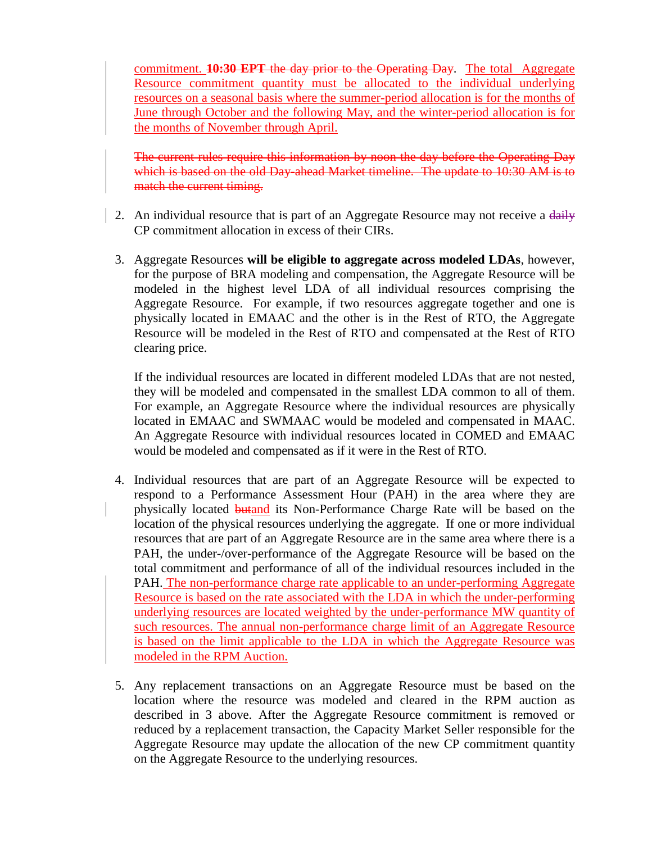commitment. **10:30 EPT** the day prior to the Operating Day. The total Aggregate Resource commitment quantity must be allocated to the individual underlying resources on a seasonal basis where the summer-period allocation is for the months of June through October and the following May, and the winter-period allocation is for the months of November through April.

The current rules require this information by noon the day before the Operating Day which is based on the old Day-ahead Market timeline. The update to 10:30 AM is to match the current timing.

- 2. An individual resource that is part of an Aggregate Resource may not receive a daily CP commitment allocation in excess of their CIRs.
	- 3. Aggregate Resources **will be eligible to aggregate across modeled LDAs**, however, for the purpose of BRA modeling and compensation, the Aggregate Resource will be modeled in the highest level LDA of all individual resources comprising the Aggregate Resource. For example, if two resources aggregate together and one is physically located in EMAAC and the other is in the Rest of RTO, the Aggregate Resource will be modeled in the Rest of RTO and compensated at the Rest of RTO clearing price.

If the individual resources are located in different modeled LDAs that are not nested, they will be modeled and compensated in the smallest LDA common to all of them. For example, an Aggregate Resource where the individual resources are physically located in EMAAC and SWMAAC would be modeled and compensated in MAAC. An Aggregate Resource with individual resources located in COMED and EMAAC would be modeled and compensated as if it were in the Rest of RTO.

- 4. Individual resources that are part of an Aggregate Resource will be expected to respond to a Performance Assessment Hour (PAH) in the area where they are physically located **butand** its Non-Performance Charge Rate will be based on the location of the physical resources underlying the aggregate. If one or more individual resources that are part of an Aggregate Resource are in the same area where there is a PAH, the under-/over-performance of the Aggregate Resource will be based on the total commitment and performance of all of the individual resources included in the PAH. The non-performance charge rate applicable to an under-performing Aggregate Resource is based on the rate associated with the LDA in which the under-performing underlying resources are located weighted by the under-performance MW quantity of such resources. The annual non-performance charge limit of an Aggregate Resource is based on the limit applicable to the LDA in which the Aggregate Resource was modeled in the RPM Auction.
- 5. Any replacement transactions on an Aggregate Resource must be based on the location where the resource was modeled and cleared in the RPM auction as described in 3 above. After the Aggregate Resource commitment is removed or reduced by a replacement transaction, the Capacity Market Seller responsible for the Aggregate Resource may update the allocation of the new CP commitment quantity on the Aggregate Resource to the underlying resources.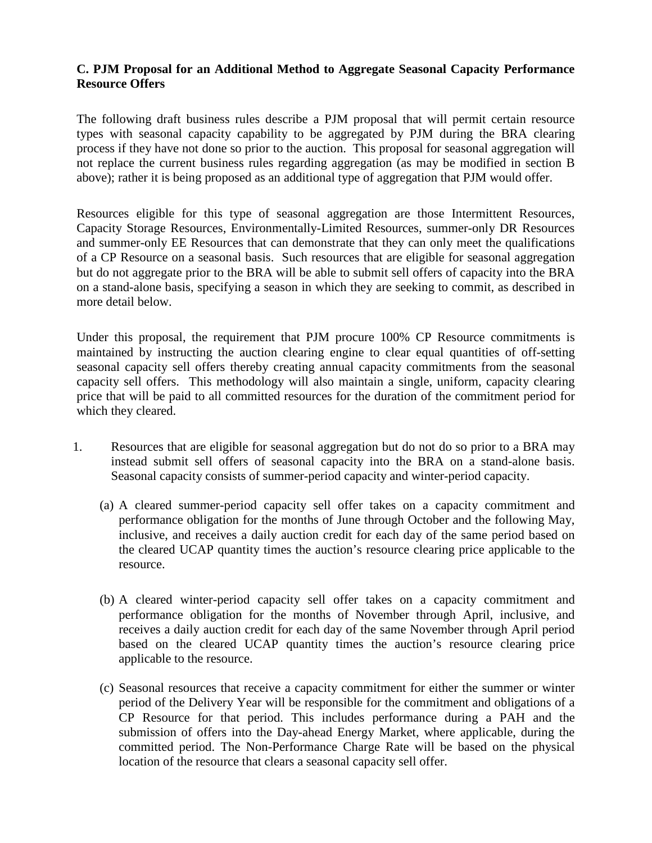## **C. PJM Proposal for an Additional Method to Aggregate Seasonal Capacity Performance Resource Offers**

The following draft business rules describe a PJM proposal that will permit certain resource types with seasonal capacity capability to be aggregated by PJM during the BRA clearing process if they have not done so prior to the auction. This proposal for seasonal aggregation will not replace the current business rules regarding aggregation (as may be modified in section B above); rather it is being proposed as an additional type of aggregation that PJM would offer.

Resources eligible for this type of seasonal aggregation are those Intermittent Resources, Capacity Storage Resources, Environmentally-Limited Resources, summer-only DR Resources and summer-only EE Resources that can demonstrate that they can only meet the qualifications of a CP Resource on a seasonal basis. Such resources that are eligible for seasonal aggregation but do not aggregate prior to the BRA will be able to submit sell offers of capacity into the BRA on a stand-alone basis, specifying a season in which they are seeking to commit, as described in more detail below.

Under this proposal, the requirement that PJM procure 100% CP Resource commitments is maintained by instructing the auction clearing engine to clear equal quantities of off-setting seasonal capacity sell offers thereby creating annual capacity commitments from the seasonal capacity sell offers. This methodology will also maintain a single, uniform, capacity clearing price that will be paid to all committed resources for the duration of the commitment period for which they cleared.

- 1. Resources that are eligible for seasonal aggregation but do not do so prior to a BRA may instead submit sell offers of seasonal capacity into the BRA on a stand-alone basis. Seasonal capacity consists of summer-period capacity and winter-period capacity.
	- (a) A cleared summer-period capacity sell offer takes on a capacity commitment and performance obligation for the months of June through October and the following May, inclusive, and receives a daily auction credit for each day of the same period based on the cleared UCAP quantity times the auction's resource clearing price applicable to the resource.
	- (b) A cleared winter-period capacity sell offer takes on a capacity commitment and performance obligation for the months of November through April, inclusive, and receives a daily auction credit for each day of the same November through April period based on the cleared UCAP quantity times the auction's resource clearing price applicable to the resource.
	- (c) Seasonal resources that receive a capacity commitment for either the summer or winter period of the Delivery Year will be responsible for the commitment and obligations of a CP Resource for that period. This includes performance during a PAH and the submission of offers into the Day-ahead Energy Market, where applicable, during the committed period. The Non-Performance Charge Rate will be based on the physical location of the resource that clears a seasonal capacity sell offer.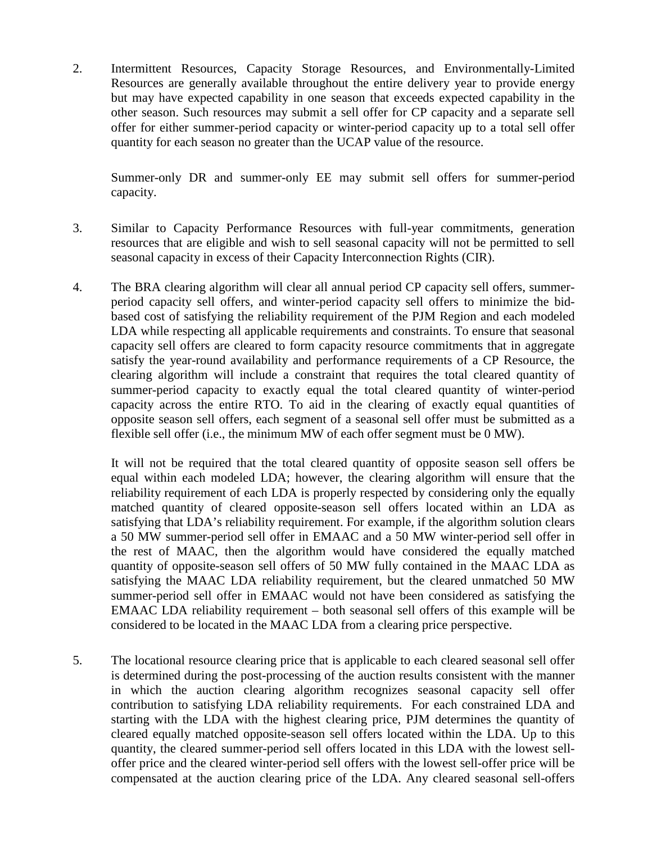2. Intermittent Resources, Capacity Storage Resources, and Environmentally-Limited Resources are generally available throughout the entire delivery year to provide energy but may have expected capability in one season that exceeds expected capability in the other season. Such resources may submit a sell offer for CP capacity and a separate sell offer for either summer-period capacity or winter-period capacity up to a total sell offer quantity for each season no greater than the UCAP value of the resource.

Summer-only DR and summer-only EE may submit sell offers for summer-period capacity.

- 3. Similar to Capacity Performance Resources with full-year commitments, generation resources that are eligible and wish to sell seasonal capacity will not be permitted to sell seasonal capacity in excess of their Capacity Interconnection Rights (CIR).
- 4. The BRA clearing algorithm will clear all annual period CP capacity sell offers, summerperiod capacity sell offers, and winter-period capacity sell offers to minimize the bidbased cost of satisfying the reliability requirement of the PJM Region and each modeled LDA while respecting all applicable requirements and constraints. To ensure that seasonal capacity sell offers are cleared to form capacity resource commitments that in aggregate satisfy the year-round availability and performance requirements of a CP Resource, the clearing algorithm will include a constraint that requires the total cleared quantity of summer-period capacity to exactly equal the total cleared quantity of winter-period capacity across the entire RTO. To aid in the clearing of exactly equal quantities of opposite season sell offers, each segment of a seasonal sell offer must be submitted as a flexible sell offer (i.e., the minimum MW of each offer segment must be 0 MW).

It will not be required that the total cleared quantity of opposite season sell offers be equal within each modeled LDA; however, the clearing algorithm will ensure that the reliability requirement of each LDA is properly respected by considering only the equally matched quantity of cleared opposite-season sell offers located within an LDA as satisfying that LDA's reliability requirement. For example, if the algorithm solution clears a 50 MW summer-period sell offer in EMAAC and a 50 MW winter-period sell offer in the rest of MAAC, then the algorithm would have considered the equally matched quantity of opposite-season sell offers of 50 MW fully contained in the MAAC LDA as satisfying the MAAC LDA reliability requirement, but the cleared unmatched 50 MW summer-period sell offer in EMAAC would not have been considered as satisfying the EMAAC LDA reliability requirement – both seasonal sell offers of this example will be considered to be located in the MAAC LDA from a clearing price perspective.

5. The locational resource clearing price that is applicable to each cleared seasonal sell offer is determined during the post-processing of the auction results consistent with the manner in which the auction clearing algorithm recognizes seasonal capacity sell offer contribution to satisfying LDA reliability requirements. For each constrained LDA and starting with the LDA with the highest clearing price, PJM determines the quantity of cleared equally matched opposite-season sell offers located within the LDA. Up to this quantity, the cleared summer-period sell offers located in this LDA with the lowest selloffer price and the cleared winter-period sell offers with the lowest sell-offer price will be compensated at the auction clearing price of the LDA. Any cleared seasonal sell-offers